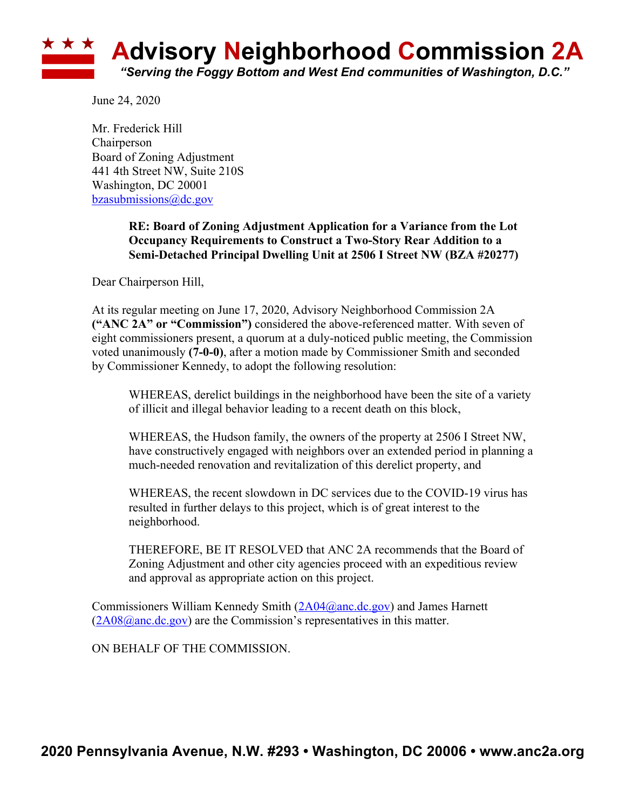

June 24, 2020

Mr. Frederick Hill **Chairperson** Board of Zoning Adjustment 441 4th Street NW, Suite 210S Washington, DC 20001 bzasubmissions@dc.gov

## **RE: Board of Zoning Adjustment Application for a Variance from the Lot Occupancy Requirements to Construct a Two-Story Rear Addition to a Semi-Detached Principal Dwelling Unit at 2506 I Street NW (BZA #20277)**

Dear Chairperson Hill,

At its regular meeting on June 17, 2020, Advisory Neighborhood Commission 2A **("ANC 2A" or "Commission")** considered the above-referenced matter. With seven of eight commissioners present, a quorum at a duly-noticed public meeting, the Commission voted unanimously **(7-0-0)**, after a motion made by Commissioner Smith and seconded by Commissioner Kennedy, to adopt the following resolution:

WHEREAS, derelict buildings in the neighborhood have been the site of a variety of illicit and illegal behavior leading to a recent death on this block,

WHEREAS, the Hudson family, the owners of the property at 2506 I Street NW, have constructively engaged with neighbors over an extended period in planning a much-needed renovation and revitalization of this derelict property, and

WHEREAS, the recent slowdown in DC services due to the COVID-19 virus has resulted in further delays to this project, which is of great interest to the neighborhood.

THEREFORE, BE IT RESOLVED that ANC 2A recommends that the Board of Zoning Adjustment and other city agencies proceed with an expeditious review and approval as appropriate action on this project.

Commissioners William Kennedy Smith (2A04@anc.dc.gov) and James Harnett  $(2A08@anc.de.gov)$  are the Commission's representatives in this matter.

ON BEHALF OF THE COMMISSION.